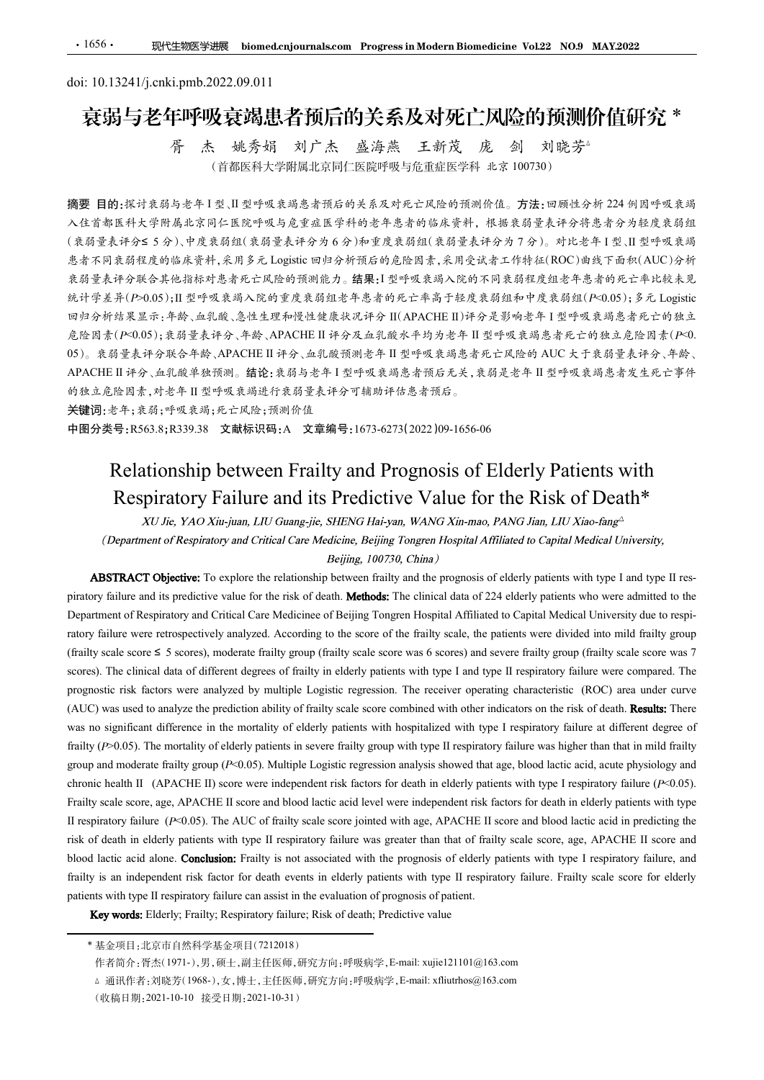# doi: 10.13241/j.cnki.pmb.2022.09.011 衰弱与老年呼吸衰竭患者预后的关系及对死亡风险的预测价值研究 \* 胥 杰 姚秀娟 刘广杰 盛海燕 王新茂 庞 剑 刘晓芳△

(首都医科大学附属北京同仁医院呼吸与危重症医学科 北京 100730)

摘要 目的:探讨衰弱与老年 I 型、II 型呼吸衰竭患者预后的关系及对死亡风险的预测价值。方法:回顾性分析 224 例因呼吸衰竭 入住首都医科大学附属北京同仁医院呼吸与危重症医学科的老年患者的临床资料,根据衰弱量表评分将患者分为轻度衰弱组 (衰弱量表评分≤ 5 分)、中度衰弱组(衰弱量表评分为 6 分)和重度衰弱组(衰弱量表评分为 7 分)。对比老年 I 型、II 型呼吸衰竭 患者不同衰弱程度的临床资料,采用多元 Logistic 回归分析预后的危险因素,采用受试者工作特征(ROC)曲线下面积(AUC)分析 衰弱量表评分联合其他指标对患者死亡风险的预测能力。结果:I 型呼吸衰竭入院的不同衰弱程度组老年患者的死亡率比较未见 统计学差异(P>0.05);II 型呼吸衰竭入院的重度衰弱组老年患者的死亡率高于轻度衰弱组和中度衰弱组(P<0.05);多元 Logistic •1656• - 职性撤退第期限 hiomedenjaurnals.com Progress.in Madern Biomedicine Vo122 NO.9 MAY2022<br>doi: 10.13241/j.cnki.pmb.2022.09.011<br>
- **表 焼秀岩 - 美 焼秀場 出 - 首 阿后的小笑 乔 及 对 死 - 美 国 刘 刘 刘 "阿伯" - "阿伯" - "<br><br> - " - 有 一 杰出 - " - 我的 对象 -** 危险因素(P<0.05);衰弱量表评分、年龄、APACHE II 评分及血乳酸水平均为老年 II 型呼吸衰竭患者死亡的独立危险因素(P<0. <sup>05</sup>)。衰弱量表评分联合年龄、APACHE II 评分、血乳酸预测老年 II 型呼吸衰竭患者死亡风险的 AUC 大于衰弱量表评分、年龄、 APACHE II 评分、血乳酸单独预测。结论:衰弱与老年 <sup>I</sup> 型呼吸衰竭患者预后无关,衰弱是老年 II 型呼吸衰竭患者发生死亡事件 的独立危险因素,对老年 II 型呼吸衰竭进行衰弱量表评分可辅助评估患者预后。 Relationship between Frailty and Prognosis of Elderly Patients with 5. 住 中医科大学術協工が附: Listerサイ文 77m-11 Lister 1974 77m-11 Lister 1974 8.5, 100730)<br><br>医具分のある年11 見 11 型呼吸表現系資源が多系及呼応言及給所組合位。方法を取得分析息を分析を定期<br>
<br>エキスプラ名が、市民医院中吸い場合を実在電子科的を手を当時協定を決策が、 基格表前並を作分析息者分析記念の設定系<br>
<br>注序が55 5分)、中度集得組、装得未許多から分布重度 (\*\*)# 2.47 リーク 2.47 中にはやはよれば、2.47 リッカバンの場所の最も最もなりませれのカッツのアカリルの開発を設計し、ADSTRACT (blue the rest of the spin of the spin of the spin of the spin of the spin of the spin of the spin of the spin of the spin of the spin of the

关键词:老年;衰弱;呼吸衰竭;死亡风险;预测价值

中图分类号:R563.8;R339.38 文献标识码:A 文章编号:1673-6273(2022)09-1656-06

Department of Respiratory and Critical Care Medicinee of Beijing Tongren Hospital Affiliated to Capital Medical University due to respiratory failure and its performance retrospectively and the score of the score of the score of the score of the score of the score of the score of the score of the score of the score of the frailty scale, the score of the (*Frail the Control of Respiratory* and Critical Care Medicines of Pelipp Toyoth Hophia At Britain is the Control of the CNET Transfer of the Actual 1979 2. <br>
APA SA CRE TRANCILLE I 许多、法酸摆设等 半月型喷或表明基本产以降的 AUC K 千系哲主系科学、A scores). The clinical data of different degrees of frailty in elderly patients with type I and type II respiratory failure were compared. The programs of Respiration of Active and the product regression of the receiver operation and the relations of the relations of Elderly Patients with the mediations of the rest of the relations of the relations of the rest (Auchier of Kepinatory and Critical Cate Medicines of Religion Combined with type 1 methods above). The method with the prediction ability of the prediction ability of the prediction ability of the prediction ability of t We see the more into the more interest in the more interest in the more in the more in the more in the more interest in the more interest in the more interest in the more interest in the more interest in the more interest **Example 10.0**<br> **Relationship between Frailty and Prognosis of Elderly Patients with<br>
Respiratory Failure and its Predictive Value for the Risk of Death\*<br>
Respiratory Failure and its Predictive Value for the Risk of Death** FROM SECTION AND THE STATE STATE STATE OF THE CONSTRAINS OF EXERCT PROPERTIENT SOFTIME RESPONSE TO A SURVEY THE CONDUCT THE REVENUE CONDUCTS THE STATE OF THE STATE OF THE STATE OF THE STATE OF THE STATE OF THE STATE OF ST Relationship between Frailty and Prognosis of Elderly Patients with<br>Respiratory Failure and its Predictive Value for the Risk of Death\*<br>
X(Jh<sub>6</sub>, YAO Xinginn, JII) Gnanggie, SHENG Halgan, WANG Xin-man, PANG Jan, II) Xin-fi FREINTONSIND DEWEEN FRAILTY and Prognosis of Elderity Patients with<br>
Respiratory Failure and its Predictive Value for the Risk of Death\*<br>
They are the Nisk of Mediate and the Nisk for Marina, HVNO Xm-ana, PNNO Tama, HV Xm **Respiratory Failure and its Predictive Value for the Risk of Death\***<br>*XU Jie, YAO Xiejum, IIU Guangjie, SHENG Heisyan, WANG Xia-mao, PANG Jim, LIU Xia-fung<sup>-</sup><br>(Deportance of Respiratory and Critical Cav Medicine, Beijing XII Jie, YAO Nin-jum, LHL Ginang-jie, SHENG Hal-yan, WANG Xho-mao, PANG Islan-Bang<sup>2</sup><br>(Department of Respiratory and Critical Care Medicine, Beijing To china) Affiliated to Capital Medical University,<br>ABSTRACT Objective* (Department of Respiratory and Critical Cac Medicine, Beijing Tongreta Hospital Affiliated to Capital Medical University,<br> **ABSTRACT Objective:** To explore the relationship between finity and the prognosis of elderly pati **ABSTRACT Objective:** To explore the relationship between finilly and the proposas of elderly patients with type II me-<br> **ABSTRACT Objective:** To explore the relationship between finilly and the proposas of elderly patien **ABSTRACT Objective:** To explore the relationship between finilty and the prognosis of sledrity patients with type I and type II respiratory failure and is predictive value for the risk of detail. **Methods**: The clinical Electric and the production of the respiratory failure can also include that the product of the respiratory failure in the product of Respiratory and Critical Cace Medicines of Religing Tongens Hospital Affiliated to Capi s scale scores 5 5 scores), moderate frailty group (frailty scale score was 6 scores) and severe frailty group (frailty scale score was 7<br>
.). The climata data of different degrees of frailty in electry pairests with type

作者简介:胥杰(1971-),男,硕士,副主任医师,研究方向:呼吸病学,E-mail: xujie121101@163.com

<sup>(</sup>收稿日期:2021-10-10 接受日期:2021-10-31)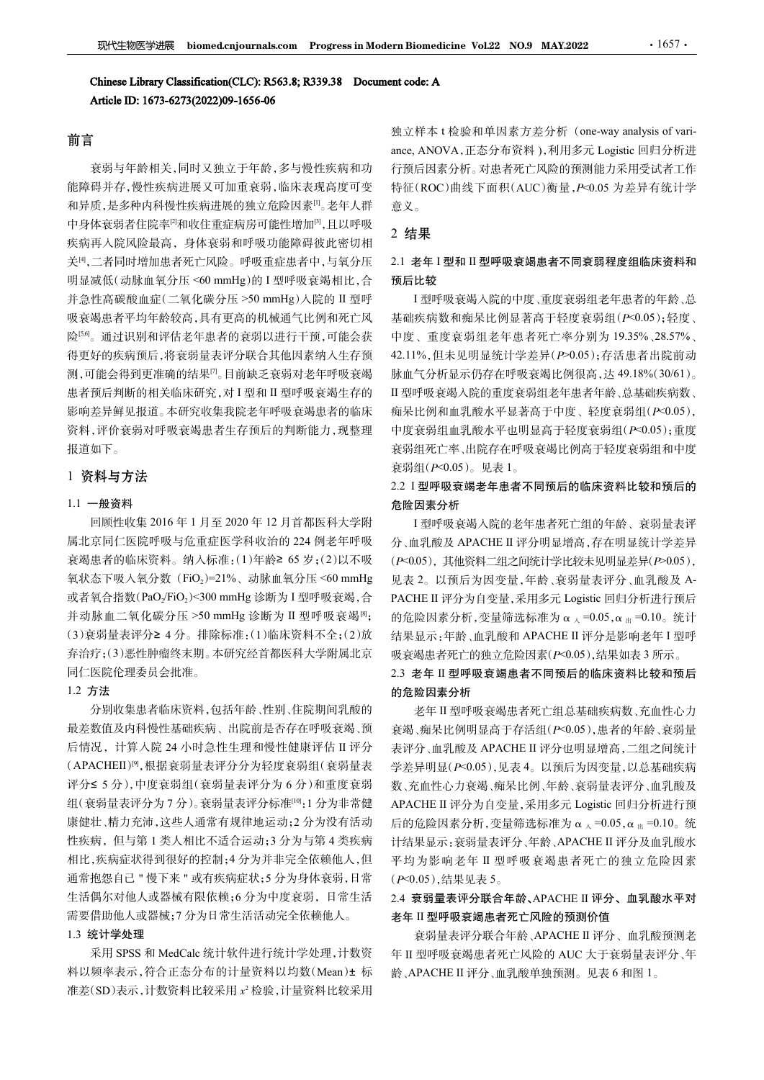# 前言

衰弱与年龄相关,同时又独立于年龄,多与慢性疾病和功 能障碍并存,慢性疾病进展又可加重衰弱,临床表现高度可变 和异质,是多种内科慢性疾病进展的独立危险因素[1]。老年人群 中身体衰弱者住院率<sup>[2]</sup>和收住重症病房可能性增加<sup>[3]</sup>,且以呼吸 疾病再入院风险最高,身体衰弱和呼吸功能障碍彼此密切相 关[4],二者同时增加患者死亡风险。呼吸重症患者中,与氧分压 **现代生物医学出展 biomed.cnjournals.com** Progress in Modern Biomedicine Vol.22 NO.9 MAY.2022<br> **Chinese Library Classification(CLC): R563.8; R339.38** Document code: A<br>
<br> **前言**<br>
<br>
第立样本<sup>14</sup>般全身有多少的202009-1656-06<br>
<br>
<br>
第三样中的 I 通过程序列出重复 **现代生物医学提展 biomed.cnjournals.com Progress in Modern Biomedicine Vol.22 NO.9 MAY.2022 · 1657<br>
Chiness Library Classification(CLC): R563.8; R339.38 Document code: A<br>
<br>
Article ID: 1673-6273(2022)99-1656-06<br>

<br>
<b>前言**<br>
前言<br> 吸衰竭患者平均年龄较高,具有更高的机械通气比例和死亡风 险[5,6]。通过识别和评估老年患者的衰弱以进行干预,可能会获 得更好的疾病预后,将衰弱量表评分联合其他因素纳入生存预 测,可能会得到更准确的结果[7]。目前缺乏衰弱对老年呼吸衰竭 患者预后判断的相关临床研究,对 I 型和 II 型呼吸衰竭生存的 影响差异鲜见报道。本研究收集我院老年呼吸衰竭患者的临床 资料,评价衰弱对呼吸衰竭患者生存预后的判断能力,现整理 报道如下。 %%)™六級X%、需要者多分配。要例如,要提高分析。 第一、最後的工作的制度的增长的。 <br>%、需要者要有的。需要者需要有的,需要重新增加,21 **老年1型和工型需要需要需要需要需要需要**有限公司需要提高的需要有<br><br>%、增加时间,有效的需要有以低级分配。需要使用的,并且比较,有效的需要增加时间,重度变新组装下显有的有效。<br><br>接受信息酸血症(二氧化碳分正 >30 mmHg入除的 =4世下以、重建疾病数和偏采比例是需有于经度衰弱 并动脉血二氧化碳分压 >50 mmHg 诊断为 II 型呼吸衰竭[8];

# 1 资料与方法

# 1.1 一般资料

回顾性收集 2016 年 1 月至 2020 年 12 月首都医科大学附 衰竭患者的临床资料。纳入标准:(1)年龄≥ 65 岁;(2)以不吸 或者氧合指数 $(PaO<sub>2</sub>/FiO<sub>2</sub>)$ <300 mmHg 诊断为 I 型呼吸衰竭, 合 弃治疗;(3)恶性肿瘤终末期。本研究经首都医科大学附属北京 同仁医院伦理委员会批准。

# 1.2 方法

分别收集患者临床资料,包括年龄、性别、住院期间乳酸的 最差数值及内科慢性基础疾病、出院前是否存在呼吸衰竭、预 (APACHEII)[9],根据衰弱量表评分分为轻度衰弱组(衰弱量表 评分≤ 5 分),中度衰弱组(衰弱量表评分为 6 分)和重度衰弱 组(衰弱量表评分为7分)。衰弱量表评分标准[10]:1分为非常健 康健壮、精力充沛,这些人通常有规律地运动;2 分为没有活动 相比,疾病症状得到很好的控制;4 分为并非完全依赖他人,但 通常抱怨自己 " 慢下来 " 或有疾病症状;5 分为身体衰弱,日常 生活偶尔对他人或器械有限依赖;6 分为中度衰弱,日常生活 2.4 衰弱量表评分联合年龄、APACHE II 评分、血乳酸水平对 需要借助他人或器械;7 分为日常生活活动完全依赖他人。

# 1.3 统计学处理

采用 SPSS 和 MedCalc 统计软件进行统计学处理,计数资 料以频率表示,符合正态分布的计量资料以均数(Mean)± 标 龄、APACHE II 评分、血乳酸单独预测。见表 6 和图 1。 准差(SD)表示,计数资料比较采用 x<sup>2</sup> 检验,计量资料比较采用

ern Biomedicine Vol.22 NO.9 MAY.2022 · · 1657 ·<br>加立样本 t 检验和单因素方差分析 (one-way analysis of vari-<br>ance, ANOVA,正态分布资料),利用多元 Logistic 回归分析进<br>行预后因素分析。对患者死亡风险的预测能力采用受试者工作<br>特征(ROC)曲线下面积(AUC)衡量, P<0.05 为差异有统计学<br>意义。 ance, ANOVA,正态分布资料 ),利用多元 Logistic 回归分析进 行预后因素分析。对患者死亡风险的预测能力采用受试者工作 特征(ROC)曲线下面积(AUC)衡量,P<0.05 为差异有统计学 意义。

# 2 结果

# 2.1 老年 I 型和 II 型呼吸衰竭患者不同衰弱程度组临床资料和 预后比较

 $\begin{array}{lllllllllllllllllllllllllllllllllllllllllll}&\mathcal{H}_1\cdot\mathbf{a}\otimes\mathbf{r}_1\cdot\mathbf{a}\otimes\mathbf{r}_2\cdot\mathbf{a}\otimes\mathbf{r}_1\cdot\mathbf{a}\otimes\mathbf{r}_1\cdot\mathbf{a}\otimes\mathbf{r}_2\cdot\mathbf{r}_1\cdot\mathbf{a}\otimes\mathbf{r}_1\cdot\mathbf{r}_2\cdot\mathbf{r}_3\cdot\mathbf{r}_4\cdot\mathbf{r}_5\cdot\mathbf{r}_6\cdot\mathbf{r}_7\cdot\mathbf{r}_7\cdot\mathbf{r}_8$ I 型呼吸衰竭入院的中度、重度衰弱组老年患者的年龄、总 基础疾病数和痴呆比例显著高于轻度衰弱组(P<0.05);轻度、 中度、重度衰弱组老年患者死亡率分别为 19.35%、28.57%、 42.11%,但未见明显统计学差异(P>0.05);存活患者出院前动 脉血气分析显示仍存在呼吸衰竭比例很高,达 49.18%(30/61)。 II 型呼吸衰竭入院的重度衰弱组老年患者年龄、总基础疾病数、 痴呆比例和血乳酸水平显著高于中度、轻度衰弱组(P<0.05), 中度衰弱组血乳酸水平也明显高于轻度衰弱组(P<0.05);重度 衰弱组死亡率、出院存在呼吸衰竭比例高于轻度衰弱组和中度 ate, 1.12 V.12.2 A.3 T 中度表現 阿尔斯·科尔·阿尔特尔·利亚特<br>在前后因素分析。对患者死亡风险的预测能力采用受异有统计学<br>特征(ROC)曲线下面积(AUC)衡量, P<0.05 为差异有统计学<br>意义。<br>2. 结果<br>1 型呼吸衰竭入院的中度、重度衰弱组老年患者的年龄、总<br>1 型呼吸衰竭人院的中度、重度衰弱组化F-0.05);轻度、<br>1 型呼吸衰竭人院的中度、重度衰弱组老年患者的年龄、总<br>基础疾病数和痴呆比例显著高于 2、**结果**<br>2、**结果**<br>2、本年1型和Ⅱ型呼吸衰竭患者不同衰弱程度组临床资料和<br>预后比较<br>1型呼吸衰竭入院的中度、重度衰弱组老年患者的年龄、总<br>基础疾病数和痴呆比例显著高于轻度衰弱组(P<0.05);轻度、<br>中度、重度衰弱组老年患者死亡率分别为19.35%、28.57%、<br>24.11%、住家要引组老年患者死亡率分别为19.35%、28.57%、<br>24.11%、但未见明显统计学差异(P>0.05);存活患者出院前动<br>24.11%(分析 PACHE II 评分为自变量,采用多元 Logistic 回归分析进行预后 结果显示:年龄、血乳酸和 APACHE II 评分是影响老年 <sup>I</sup> 型呼

# 危险因素分析

属北京同仁医院呼吸与危重症医学科收治的 224 例老年呼吸 一分、血乳酸及 APACHE II 评分明显增高,存在明显统计学差异 (3)衰弱量表评分≥ 4 分。排除标准:(1)临床资料不全;(2)放 I 型呼吸衰竭入院的老年患者死亡组的年龄、衰弱量表评 (P<0.05),其他资料二组之间统计学比较未见明显差异(P>0.05), 见表 2。以预后为因变量,年龄、衰弱量表评分、血乳酸及 A-的危险因素分析,变量筛选标准为 α  $_{\lambda}$  =0.05, α  $_{\text{H}}$  =0.10。统计 吸衰竭患者死亡的独立危险因素(P<0.05),结果如表 3 所示。 2.3 老年 II 型呼吸衰竭患者不同预后的临床资料比较和预后 5. 2.3. 3.3. 基年11 型呼吸衰竭患者死亡的缺失表现。 3.5. 3.3. 基平工型呼吸衰竭患者不同预后的临床资料比较和预后的危险因素分析,变量筛选标准为α、=0.05, 患者下,血乳酸及 APACHE II 评分明显增高,存在明显差异,在20.05, 12页后为因实量,采用多元,已同时分析进行进行,使用是高于存活组(P<0.05), 2.2. 1型呼吸衰竭,发射后到5%特定的情况有限是异常,在前进后,以前是一个20.05

# 的危险因素分析

后情况, 计算入院 24 小时急性生理和慢性健康评估 II 评分 表评分、血乳酸及 APACHE II 评分也明显增高,二组之间统计 APACHE II 评分为自变量, 采用多元 Logistic 回归分析进行预 性疾病,但与第1类人相比不适合运动;3分为与第4类疾病 计结果显示:衰弱量表评分、年龄、APACHE II 评分及血乳酸水 老年 II 型呼吸衰竭患者死亡组总基础疾病数、充血性心力 衰竭、痴呆比例明显高于存活组(P<0.05),患者的年龄、衰弱量 学差异明显(P<0.05),见表 4。以预后为因变量,以总基础疾病 数、充血性心力衰竭、痴呆比例、年龄、衰弱量表评分、血乳酸及 APACHE II 评分为自变量,采用多元 Logistic 回归分析进行预 后的危险因素分析,变量筛选标准为 α  $_{\lambda}$  =0.05, α  $_{\text{H}}$  =0.10。统 3.1 1 型呼吸衰竭人院的老年患者死亡组的有效。在一个20.05),推进不分。<br>1 型呼吸衰竭人院的老年患者死亡组的年龄、衰弱量表(P<0.05),其他资料二组之间统计学比较未见明显差异(P<0.05),其他资料二组之间统计学比较未见明显差异(P<0.05),其他资料二组之间统计学比较未见明显差异(P<0.05),结果如后为因变量,采用多元 Logistic 回归分析进行预后的危险因素分析,变量筛选标准为α < =0.05,α == 平均为影响老年 II 型呼吸衰竭患者死亡的独立危险因素 (P<0.05),结果见表 5。 2.4 衰弱量表评分联合年龄、APACHE II 评分、血乳酸水平对 衰弱量表评分联合年龄、APACHE II 评分、血乳酸预测老 龄、APACHE II 评分、血乳酸单独预测。见表 <sup>6</sup> 和图 <sup>1</sup>。

# 老年 II 型呼吸衰竭患者死亡风险的预测价值

年 II 型呼吸衰竭患者死亡风险的 AUC 大于衰弱量表评分、年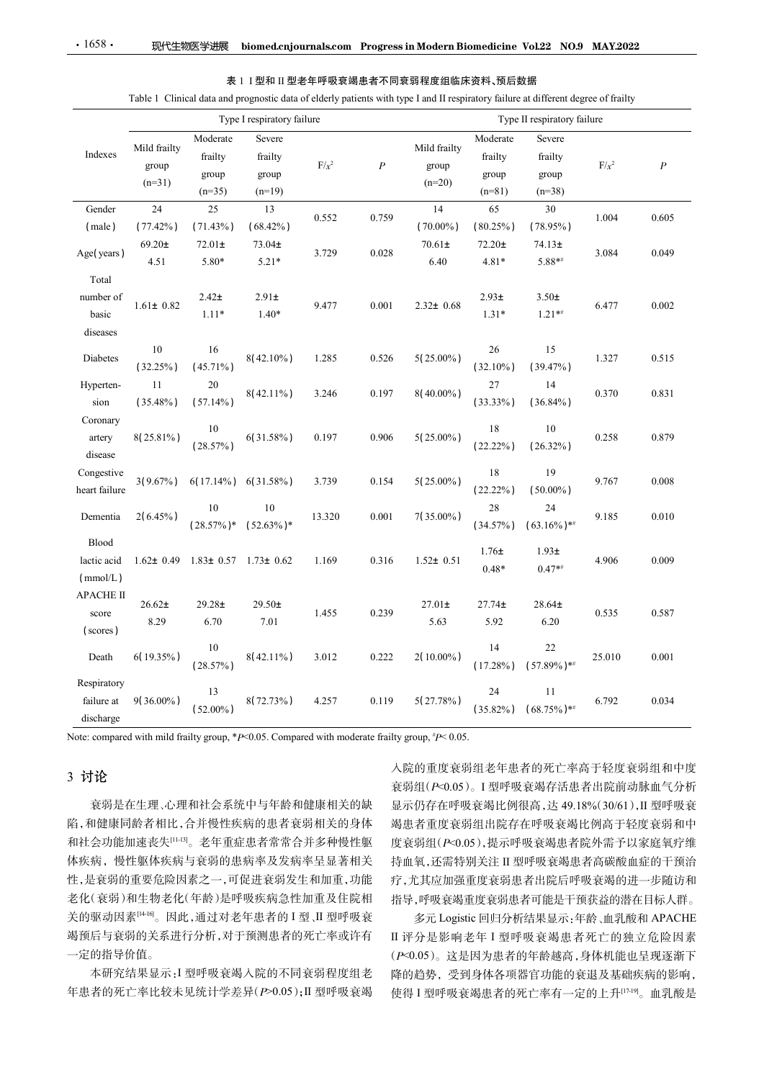|                                         |                                   |                                                 |                                        |         |                  | 表 1 I 型和 II 型老年呼吸衰竭患者不同衰弱程度组临床资料、预后数据<br>Table 1 Clinical data and prognostic data of elderly patients with type I and II respiratory failure at different degree of frailty |                                          |                                        |         |                  |
|-----------------------------------------|-----------------------------------|-------------------------------------------------|----------------------------------------|---------|------------------|------------------------------------------------------------------------------------------------------------------------------------------------------------------------------|------------------------------------------|----------------------------------------|---------|------------------|
|                                         |                                   |                                                 | Type I respiratory failure             |         |                  |                                                                                                                                                                              |                                          | Type II respiratory failure            |         |                  |
| Indexes                                 | Mild frailty<br>group<br>$(n=31)$ | Moderate<br>frailty<br>group<br>$(n=35)$        | Severe<br>frailty<br>group<br>$(n=19)$ | $F/x^2$ | $\boldsymbol{P}$ | Mild frailty<br>group<br>$(n=20)$                                                                                                                                            | Moderate<br>frailty<br>group<br>$(n=81)$ | Severe<br>frailty<br>group<br>$(n=38)$ | $F/x^2$ | $\boldsymbol{P}$ |
| Gender<br>(male)                        | 24<br>$(77.42\%)$                 | 25<br>$(71.43\%)$                               | 13<br>$(68.42\%)$                      | 0.552   | 0.759            | 14<br>$(70.00\%)$                                                                                                                                                            | 65<br>$(80.25\%)$                        | 30<br>$(78.95\%)$                      | 1.004   | 0.605            |
| Age(years)                              | $69.20 \pm$<br>4.51               | $72.01\pm$<br>5.80*                             | $73.04 \pm$<br>$5.21*$                 | 3.729   | 0.028            | $70.61 \pm$<br>6.40                                                                                                                                                          | $72.20\pm$<br>$4.81*$                    | $74.13+$<br>$5.88**$                   | 3.084   | 0.049            |
| Total<br>number of<br>basic<br>diseases | $1.61 \pm 0.82$                   | 2.42 <sub>±</sub><br>$1.11*$                    | $2.91\pm$<br>$1.40*$                   | 9.477   | 0.001            | $2.32 \pm 0.68$                                                                                                                                                              | $2.93\pm$<br>$1.31*$                     | $3.50\pm$<br>$1.21**$                  | 6.477   | 0.002            |
| Diabetes                                | 10<br>$(32.25\%)$                 | 16<br>$(45.71\%)$                               | $8(42.10\%)$                           | 1.285   | 0.526            | $5(25.00\%)$                                                                                                                                                                 | 26<br>$(32.10\%)$                        | 15<br>$(39.47\%)$                      | 1.327   | 0.515            |
| Hyperten-<br>sion                       | 11<br>$(35.48\%)$                 | 20<br>$(57.14\%)$                               | $8(42.11\%)$                           | 3.246   | 0.197            | 8(40.00%)                                                                                                                                                                    | 27<br>$(33.33\%)$                        | 14<br>$(36.84\%)$                      | 0.370   | 0.831            |
| Coronary<br>artery<br>disease           | 8(25.81%)                         | 10<br>$(28.57\%)$                               | $6(31.58\%)$                           | 0.197   | 0.906            | $5(25.00\%)$                                                                                                                                                                 | 18<br>$(22.22\%)$                        | $10\,$<br>$(26.32\%)$                  | 0.258   | 0.879            |
| Congestive<br>heart failure             | $3(9.67\%)$                       | $6(17.14\%)$                                    | $6(31.58\%)$                           | 3.739   | 0.154            | $5(25.00\%)$                                                                                                                                                                 | 18<br>$(22.22\%)$                        | 19<br>$(50.00\%)$                      | 9.767   | 0.008            |
| Dementia                                | $2(6.45\%)$                       | 10<br>$(28.57\%)$ *                             | 10<br>$(52.63\%)*$                     | 13.320  | 0.001            | 7(35.00%)                                                                                                                                                                    | $28\,$<br>$(34.57\%)$                    | 24<br>$(63.16\%)$ **                   | 9.185   | 0.010            |
| Blood<br>lactic acid<br>(mmol/L)        |                                   | $1.62 \pm 0.49$ $1.83 \pm 0.57$ $1.73 \pm 0.62$ |                                        | 1.169   | 0.316            | $1.52 \pm 0.51$                                                                                                                                                              | $1.76\pm$<br>$0.48*$                     | $1.93\pm$<br>$0.47**$                  | 4.906   | 0.009            |
| <b>APACHE II</b><br>score<br>(scores)   | $26.62\pm$<br>8.29                | $29.28 +$<br>6.70                               | $29.50+$<br>7.01                       | 1.455   | 0.239            | $27.01\pm$<br>5.63                                                                                                                                                           | $27.74 \pm$<br>5.92                      | $28.64 \pm$<br>6.20                    | 0.535   | 0.587            |
| Death                                   | 6(19.35%)                         | 10<br>$(28.57\%)$                               | $8(42.11\%)$                           | 3.012   | 0.222            | 2(10.00%)                                                                                                                                                                    | 14<br>$(17.28\%)$                        | 22<br>$(57.89\%)$ **                   | 25.010  | 0.001            |
| Respiratory<br>failure at<br>discharge  | $9(36.00\%)$                      | 13<br>$(52.00\%)$                               | 8(72.73%)                              | 4.257   | 0.119            | 5(27.78%)                                                                                                                                                                    | 24<br>$(35.82\%)$                        | 11<br>$(68.75\%)$ **                   | 6.792   | 0.034            |

|  | 表! I 型和 II 型老年呼吸衰竭患者不同衰弱程度组临床资料、预后数据 |  |  |  |  |
|--|--------------------------------------|--|--|--|--|
|--|--------------------------------------|--|--|--|--|

# 3 讨论

衰弱是在生理、心理和社会系统中与年龄和健康相关的缺 陷,和健康同龄者相比,合并慢性疾病的患者衰弱相关的身体 和社会功能加速丧失[11-13]。老年重症患者常常合并多种慢性躯 体疾病,慢性躯体疾病与衰弱的患病率及发病率呈显著相关 性,是衰弱的重要危险因素之一,可促进衰弱发生和加重,功能 老化(衰弱)和生物老化(年龄)是呼吸疾病急性加重及住院相 关的驱动因素[14-16]。因此,通过对老年患者的 I 型、II 型呼吸衰 竭预后与衰弱的关系进行分析,对于预测患者的死亡率或许有 一定的指导价值。

本研究结果显示:I 型呼吸衰竭入院的不同衰弱程度组老 年患者的死亡率比较未见统计学差异(P>0.05);II 型呼吸衰竭

入院的重度衰弱组老年患者的死亡率高于轻度衰弱组和中度 衰弱组(P<0.05)。I 型呼吸衰竭存活患者出院前动脉血气分析 显示仍存在呼吸衰竭比例很高,达 49.18%(30/61),II 型呼吸衰 竭患者重度衰弱组出院存在呼吸衰竭比例高于轻度衰弱和中 度衰弱组(P<0.05),提示呼吸衰竭患者院外需予以家庭氧疗维 持血氧,还需特别关注 II 型呼吸衰竭患者高碳酸血症的干预治 疗,尤其应加强重度衰弱患者出院后呼吸衰竭的进一步随访和 指导,呼吸衰竭重度衰弱患者可能是干预获益的潜在目标人群。

多元 Logistic 回归分析结果显示:年龄、血乳酸和 APACHE II 评分是影响老年 I 型呼吸衰竭患者死亡的独立危险因素 (P<0.05)。这是因为患者的年龄越高,身体机能也呈现逐渐下 降的趋势,受到身体各项器官功能的衰退及基础疾病的影响, 使得 I 型呼吸衰竭患者的死亡率有一定的上升[17-19]。血乳酸是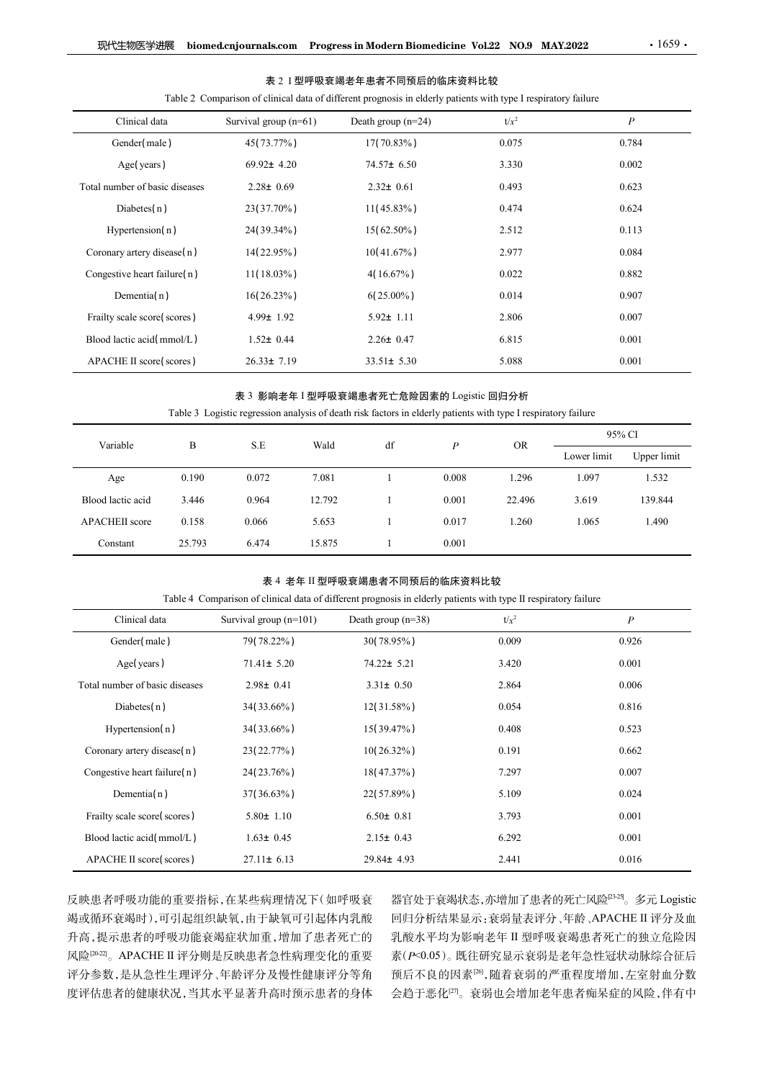|                                |              |                         |        |                                                                                                                 |                  |                   |             | $\cdot$ 1659 $\cdot$ |
|--------------------------------|--------------|-------------------------|--------|-----------------------------------------------------------------------------------------------------------------|------------------|-------------------|-------------|----------------------|
| 现代生物医学进展                       |              |                         |        | biomed.cnjournals.com Progress in Modern Biomedicine Vol.22 NO.9 MAY.2022                                       |                  |                   |             |                      |
|                                |              |                         |        | 表 2 I 型呼吸衰竭老年患者不同预后的临床资料比较                                                                                      |                  |                   |             |                      |
|                                |              |                         |        | Table 2 Comparison of clinical data of different prognosis in elderly patients with type I respiratory failure  |                  |                   |             |                      |
| Clinical data                  |              | Survival group $(n=61)$ |        | Death group (n=24)                                                                                              |                  | $t/x^2$           |             | $\boldsymbol{P}$     |
| Gender(male)                   |              | 45(73.77%)              |        | 17(70.83%)                                                                                                      |                  | 0.075             |             | 0.784                |
| Age(years)                     |              | 69.92± 4.20             |        | 74.57± 6.50                                                                                                     |                  | 3.330             |             | 0.002                |
| Total number of basic diseases |              | $2.28 \pm 0.69$         |        | $2.32 \pm 0.61$                                                                                                 |                  | 0.493             |             | 0.623                |
| Diabetes $(n)$                 |              | 23(37.70%)              |        | $11(45.83\%)$                                                                                                   |                  | 0.474             |             | 0.624                |
| Hypertension(n)                |              | 24(39.34%)              |        | $15(62.50\%)$                                                                                                   |                  | 2.512             |             | 0.113                |
| Coronary artery disease(n)     |              | 14(22.95%)              |        | $10(41.67\%)$                                                                                                   |                  | 2.977             |             | 0.084                |
| Congestive heart failure(n)    |              | $11(18.03\%)$           |        | $4(16.67\%)$                                                                                                    |                  | 0.022             |             | 0.882                |
| Dementia(n)                    |              | 16(26.23%)              |        | $6(25.00\%)$                                                                                                    |                  | 0.014             |             | 0.907                |
| Frailty scale score(scores)    |              | $4.99 \pm 1.92$         |        | $5.92 \pm 1.11$                                                                                                 |                  | 2.806             |             | 0.007                |
| Blood lactic acid(mmol/L)      |              | $1.52 \pm 0.44$         |        | $2.26 \pm 0.47$                                                                                                 |                  | 6.815             |             | 0.001                |
| APACHE II score(scores)        |              | $26.33 \pm 7.19$        |        | $33.51 \pm 5.30$                                                                                                |                  | 5.088             |             | $0.001\,$            |
|                                |              |                         |        | 表 3 影响老年 I 型呼吸衰竭患者死亡危险因素的 Logistic 回归分析                                                                         |                  |                   |             |                      |
|                                |              |                         |        | Table 3 Logistic regression analysis of death risk factors in elderly patients with type I respiratory failure  |                  |                   |             |                      |
| Variable                       | $\, {\bf B}$ | $\operatorname{S.E}$    | Wald   | $\mathrm{d}\mathbf{f}$                                                                                          | $\boldsymbol{P}$ | ${\sf OR}$        |             | 95% CI               |
|                                |              |                         |        |                                                                                                                 |                  |                   | Lower limit | Upper limit          |
| Age                            | 0.190        | 0.072                   | 7.081  | $\mathbf{1}$                                                                                                    | 0.008            | 1.296             | 1.097       | 1.532                |
| Blood lactic acid              | 3.446        | 0.964                   | 12.792 | -1                                                                                                              | 0.001            | 22.496            | 3.619       | 139.844              |
| APACHEII score                 | 0.158        | 0.066                   | 5.653  | -1                                                                                                              | 0.017            | 1.260             | 1.065       | 1.490                |
| Constant                       | 25.793       | 6.474                   | 15.875 | $\mathbf{1}$                                                                                                    | 0.001            |                   |             |                      |
|                                |              |                         |        | 表 4 老年 II 型呼吸衰竭患者不同预后的临床资料比较                                                                                    |                  |                   |             |                      |
|                                |              |                         |        | Table 4 Comparison of clinical data of different prognosis in elderly patients with type II respiratory failure |                  |                   |             |                      |
| Clinical data                  |              | Survival group (n=101)  |        | Death group (n=38)                                                                                              |                  | $t/\mathcal{x}^2$ |             | $\boldsymbol{P}$     |

表 3 影响老年 I 型呼吸衰竭患者死亡危险因素的 Logistic 回归分析

| Congestive heart failure(n)                                                                                          |              | 11(18.03%)               |        | $4(16.67\%)$                                                                                                                                    |                  | 0.022     |             | 0.882            |
|----------------------------------------------------------------------------------------------------------------------|--------------|--------------------------|--------|-------------------------------------------------------------------------------------------------------------------------------------------------|------------------|-----------|-------------|------------------|
| Dementia $(n)$                                                                                                       |              | $16(26.23\%)$            |        | $6(25.00\%)$                                                                                                                                    |                  | 0.014     |             | 0.907            |
| Frailty scale score(scores)                                                                                          |              | $4.99 \pm 1.92$          |        | $5.92 \pm 1.11$                                                                                                                                 |                  | 2.806     |             | 0.007            |
| Blood lactic acid(mmol/L)                                                                                            |              | $1.52 \pm 0.44$          |        | $2.26 \pm 0.47$                                                                                                                                 |                  | 6.815     |             | 0.001            |
| APACHE II score(scores)                                                                                              |              | $26.33 \pm 7.19$         |        | $33.51 \pm 5.30$                                                                                                                                |                  | 5.088     |             | 0.001            |
|                                                                                                                      |              |                          |        | 表 3 影响老年 I 型呼吸衰竭患者死亡危险因素的 Logistic 回归分析                                                                                                         |                  |           |             |                  |
|                                                                                                                      |              |                          |        | Table 3 Logistic regression analysis of death risk factors in elderly patients with type I respiratory failure                                  |                  |           |             | 95% CI           |
| Variable                                                                                                             | $\, {\bf B}$ | $\operatorname{S.E}$     | Wald   | $\mathrm{d}\mathbf{f}$                                                                                                                          | $\boldsymbol{P}$ | <b>OR</b> | Lower limit | Upper limit      |
| Age                                                                                                                  | 0.190        | 0.072                    | 7.081  | $\mathbf{1}$                                                                                                                                    | 0.008            | 1.296     | 1.097       | 1.532            |
| Blood lactic acid                                                                                                    | 3.446        | 0.964                    | 12.792 | -1                                                                                                                                              | 0.001            | 22.496    | 3.619       | 139.844          |
| APACHEII score                                                                                                       | 0.158        | 0.066                    | 5.653  | $\mathbf{1}$                                                                                                                                    | 0.017            | 1.260     | 1.065       | 1.490            |
| Constant                                                                                                             | 25.793       | 6.474                    | 15.875 | $\mathbf{1}$                                                                                                                                    | 0.001            |           |             |                  |
|                                                                                                                      |              |                          |        |                                                                                                                                                 |                  |           |             |                  |
|                                                                                                                      |              |                          |        | 表 4 老年 II 型呼吸衰竭患者不同预后的临床资料比较<br>Table 4 Comparison of clinical data of different prognosis in elderly patients with type II respiratory failure |                  |           |             |                  |
| Clinical data                                                                                                        |              | Survival group $(n=101)$ |        | Death group $(n=38)$                                                                                                                            |                  | $t/x^2$   |             | $\boldsymbol{P}$ |
| Gender(male)                                                                                                         |              | 79(78.22%)               |        | 30(78.95%)                                                                                                                                      |                  | 0.009     |             | 0.926            |
| Age(years)                                                                                                           |              | $71.41 \pm 5.20$         |        | 74.22± 5.21                                                                                                                                     |                  | 3.420     |             | 0.001            |
| Total number of basic diseases                                                                                       |              | $2.98 \pm 0.41$          |        | $3.31 \pm 0.50$                                                                                                                                 |                  | 2.864     |             | 0.006            |
| Diabetes(n)                                                                                                          |              | 34(33.66%)               |        | $12(31.58\%)$                                                                                                                                   |                  | 0.054     |             | 0.816            |
| $\mathbf{v}$ $\mathbf{v}$ $\mathbf{v}$ $\mathbf{v}$ $\mathbf{v}$ $\mathbf{v}$ $\mathbf{v}$ $\mathbf{v}$ $\mathbf{v}$ |              | $A + I A A + C A + V$    |        | $1.7120$ $1.701$                                                                                                                                |                  | 0.100     |             | 0.502            |

# 表 4 老年 II 型呼吸衰竭患者不同预后的临床资料比较

| Blood lactic acid(mmol/L)      |        | $1.52 \pm 0.44$          |                  | $2.26 \pm 0.47$                                                                                                                                 |                  | 6.815     |             | 0.001            |  |  |
|--------------------------------|--------|--------------------------|------------------|-------------------------------------------------------------------------------------------------------------------------------------------------|------------------|-----------|-------------|------------------|--|--|
| APACHE II score(scores)        |        | $26.33 \pm 7.19$         | $33.51 \pm 5.30$ |                                                                                                                                                 |                  | 5.088     |             | 0.001            |  |  |
|                                |        |                          |                  | 表 3 影响老年 I 型呼吸衰竭患者死亡危险因素的 Logistic 回归分析                                                                                                         |                  |           |             |                  |  |  |
|                                |        |                          |                  | Table 3 Logistic regression analysis of death risk factors in elderly patients with type I respiratory failure                                  |                  |           |             |                  |  |  |
| Variable                       | B      | $\operatorname{S.E}$     | Wald             | df                                                                                                                                              | $\boldsymbol{P}$ | <b>OR</b> |             | 95% CI           |  |  |
|                                |        |                          |                  |                                                                                                                                                 |                  |           | Lower limit | Upper limit      |  |  |
| Age                            | 0.190  | 0.072                    | 7.081            | 1                                                                                                                                               | 0.008            | 1.296     | 1.097       | 1.532            |  |  |
| Blood lactic acid              | 3.446  | 0.964                    | 12.792           | 1                                                                                                                                               | 0.001            | 22.496    | 3.619       | 139.844          |  |  |
| <b>APACHEII</b> score          | 0.158  | 0.066                    | 5.653            | -1                                                                                                                                              | 0.017            | 1.260     | 1.065       | 1.490            |  |  |
| Constant                       | 25.793 | 6.474                    | 15.875           | $\mathbf{1}$                                                                                                                                    | 0.001            |           |             |                  |  |  |
|                                |        |                          |                  |                                                                                                                                                 |                  |           |             |                  |  |  |
|                                |        |                          |                  | 表 4 老年 II 型呼吸衰竭患者不同预后的临床资料比较<br>Table 4 Comparison of clinical data of different prognosis in elderly patients with type II respiratory failure |                  |           |             |                  |  |  |
| Clinical data                  |        | Survival group $(n=101)$ |                  | Death group (n=38)                                                                                                                              |                  | $t/x^2$   |             | $\boldsymbol{P}$ |  |  |
| Gender(male)                   |        | 79(78.22%)               |                  | 30(78.95%)                                                                                                                                      |                  | 0.009     |             | 0.926            |  |  |
| Age(years)                     |        | $71.41 \pm 5.20$         |                  | 74.22± 5.21                                                                                                                                     |                  | 3.420     |             | 0.001            |  |  |
| Total number of basic diseases |        | $2.98 \pm 0.41$          |                  | $3.31 \pm 0.50$                                                                                                                                 |                  | 2.864     |             | 0.006            |  |  |
| Diabetes $(n)$                 |        | 34(33.66%)               |                  | 12(31.58%)                                                                                                                                      |                  | 0.054     |             | 0.816            |  |  |
| Hypertension(n)                |        | 34(33.66%)               |                  | $15(39.47\%)$                                                                                                                                   |                  | 0.408     |             | 0.523            |  |  |
| Coronary artery disease(n)     |        | 23(22.77%)               |                  | $10(26.32\%)$                                                                                                                                   |                  | 0.191     |             | 0.662            |  |  |
| Congestive heart failure(n)    |        | 24(23.76%)               |                  | 18(47.37%)                                                                                                                                      |                  | 7.297     |             | 0.007            |  |  |
| Dementia $(n)$                 |        | 37(36.63%)               |                  | 22(57.89%)                                                                                                                                      |                  | 5.109     |             | 0.024            |  |  |
| Frailty scale score(scores)    |        | $5.80 \pm 1.10$          |                  | $6.50 \pm 0.81$                                                                                                                                 |                  | 3.793     |             | 0.001            |  |  |
| Blood lactic acid(mmol/L)      |        | $1.63 \pm 0.45$          |                  | $2.15 \pm 0.43$                                                                                                                                 |                  | 6.292     |             | 0.001            |  |  |
|                                |        |                          |                  |                                                                                                                                                 |                  | 2.441     |             | 0.016            |  |  |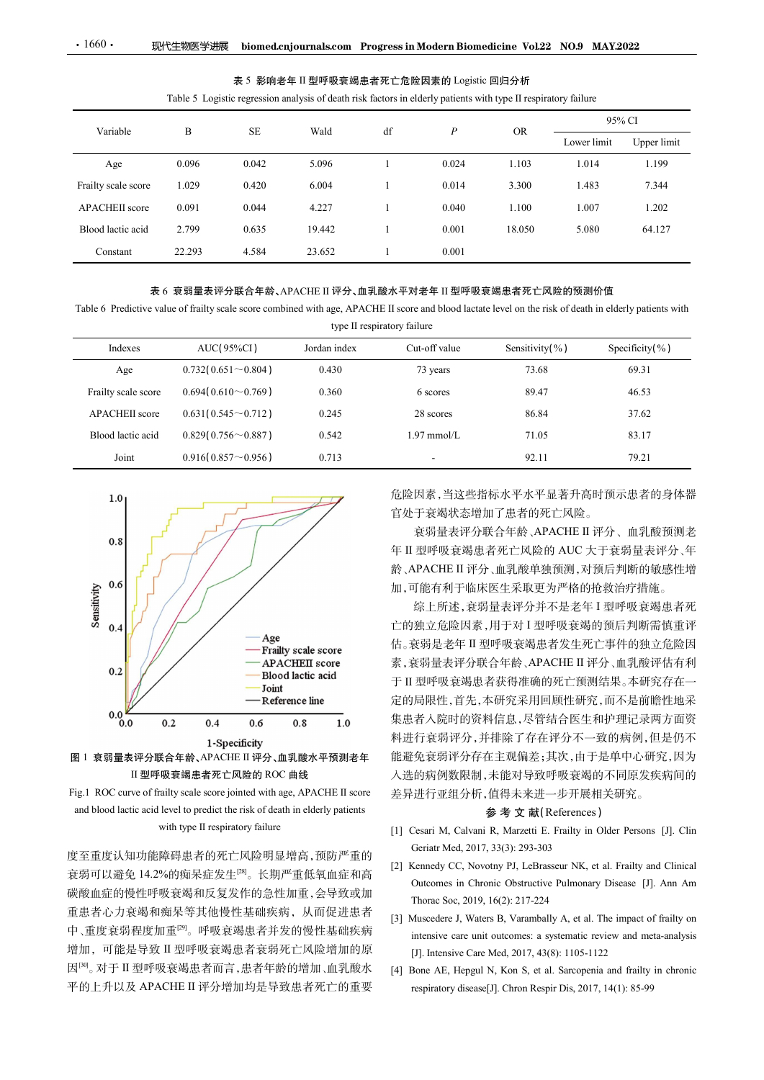# 表 5 影响老年 II 型呼吸衰竭患者死亡危险因素的 Logistic 回归分析

| $\cdot$ 1660 $\cdot$                                                                                                                                     | 现代生物医学进展                 |                           | biomed.cnjournals.com Progress in Modern Biomedicine Vol.22 NO.9 MAY.2022                                                                                   |                             |                  |                |                |             |
|----------------------------------------------------------------------------------------------------------------------------------------------------------|--------------------------|---------------------------|-------------------------------------------------------------------------------------------------------------------------------------------------------------|-----------------------------|------------------|----------------|----------------|-------------|
|                                                                                                                                                          |                          |                           |                                                                                                                                                             |                             |                  |                |                |             |
|                                                                                                                                                          |                          |                           | 表 5 影响老年 II 型呼吸衰竭患者死亡危险因素的 Logistic 回归分析<br>Table 5 Logistic regression analysis of death risk factors in elderly patients with type II respiratory failure |                             |                  |                |                |             |
|                                                                                                                                                          |                          |                           |                                                                                                                                                             |                             |                  |                |                | 95% CI      |
| Variable                                                                                                                                                 | $\, {\bf B}$             | $\rm SE$                  | Wald                                                                                                                                                        | df                          | $\boldsymbol{P}$ | <b>OR</b>      | Lower limit    | Upper limit |
| Age                                                                                                                                                      | 0.096                    | 0.042                     | 5.096                                                                                                                                                       | 1                           | 0.024            | 1.103          | 1.014          | 1.199       |
| Frailty scale score                                                                                                                                      | 1.029                    | 0.420                     | 6.004                                                                                                                                                       | 1                           | 0.014            | 3.300          | 1.483          | 7.344       |
| APACHEII score                                                                                                                                           | 0.091                    | 0.044                     | 4.227                                                                                                                                                       | 1                           | 0.040            | 1.100          | 1.007          | 1.202       |
| Blood lactic acid                                                                                                                                        | 2.799                    | 0.635                     | 19.442                                                                                                                                                      | $\mathbf{1}$                | 0.001            | 18.050         | 5.080          | 64.127      |
| Constant                                                                                                                                                 | 22.293                   | 4.584                     | 23.652                                                                                                                                                      | 1                           | 0.001            |                |                |             |
| Table 6 Predictive value of frailty scale score combined with age, APACHE II score and blood lactate level on the risk of death in elderly patients with |                          |                           | 表 6 衰弱量表评分联合年龄、APACHE II 评分、血乳酸水平对老年 II 型呼吸衰竭患者死亡风险的预测价值                                                                                                    | type II respiratory failure |                  |                |                |             |
|                                                                                                                                                          |                          | AUC(95%CI)                | Jordan index                                                                                                                                                |                             | Cut-off value    | Sensitivity(%) | Specificity(%) |             |
| Indexes                                                                                                                                                  |                          | $0.732(0.651\sim0.804)$   | 0.430                                                                                                                                                       |                             | 73 years         | 73.68          |                | 69.31       |
| Age                                                                                                                                                      |                          |                           | 0.360                                                                                                                                                       |                             | 6 scores         | 89.47          |                | 46.53       |
| Frailty scale score                                                                                                                                      | $0.694(0.610\sim 0.769)$ |                           |                                                                                                                                                             |                             |                  |                |                | 37.62       |
| APACHEII score                                                                                                                                           |                          | $0.631(0.545\sim0.712)$   | 0.245                                                                                                                                                       |                             | 28 scores        | 86.84          |                |             |
| Blood lactic acid                                                                                                                                        |                          | $0.829(0.756 \sim 0.887)$ | 0.542                                                                                                                                                       |                             | $1.97$ mmol/L    | 71.05          |                | 83.17       |







度至重度认知功能障碍患者的死亡风险明显增高,预防严重的<br>
<br>
(2) Kennedy CC, Novotny PJ, LeBrasseur NK, et al. Frailty and Clinical 碳酸血症的慢性呼吸衰竭和反复发作的急性加重,会导致或加 Thorac Soc. 2019, 16(2): 217-224 重患者心力衰竭和痴呆等其他慢性基础疾病,从而促进患者<br>[3] Muscedere J, Waters B, Varambally A, et al. The impact of frailty on 增加, 可能是导致 II 型呼吸衰竭患者衰弱死亡风险增加的原 [J]. Intensive Care Med, 2017, 43(8): 1105-1122 因[30]。对于 II 型呼吸衰竭患者而言,患者年龄的增加、血乳酸水 [4] Bone AE, Hepgul N, Kon S, et al. Sarcopenia and frailty in chronic  $[3.24] \begin{tabular}{|c|c|} \hline & \textbf{anA} & \textbf{onA} & \textbf{onA} & \textbf{onA} \\ \hline \hline \textbf{2} & \textbf{onA} & \textbf{onA} \\ \hline \textbf{3} & \textbf{onA} & \textbf{onA} \\ \hline \textbf{4} & \textbf{onA} & \textbf{onA} \\ \hline \textbf{5} & \textbf{onA} & \textbf{onA} \\ \hline \textbf{6} & \textbf{onA} & \textbf{onA} \\ \hline \textbf{7} & \textbf{1} & \textbf{1} & \textbf{1} \\ \$ 

you May and the Hotel Hotel Hotel The Theorem Start The Theorem Start The Theorem Start The Theorem Start The Theorem Start The Concernent Concernent Concernent Concernent Concernent Concernent Concernent Concernent Con 综上所述,衰弱量表评分并不是老年 I 型呼吸衰竭患者死 亡的独立危险因素,用于对 I 型呼吸衰竭的预后判断需慎重评 估。衰弱是老年 II 型呼吸衰竭患者发生死亡事件的独立危险因 素,衰弱量表评分联合年龄、APACHE II 评分、血乳酸评估有利 于 II 型呼吸衰竭患者获得准确的死亡预测结果。本研究存在一 定的局限性,首先,本研究采用回顾性研究,而不是前瞻性地采 集患者入院时的资料信息,尽管结合医生和护理记录两方面资 料进行衰弱评分,并排除了存在评分不一致的病例,但是仍不 能避免衰弱评分存在主观偏差;其次,由于是单中心研究,因为 入选的病例数限制,未能对导致呼吸衰竭的不同原发疾病间的 差异进行亚组分析,值得未来进一步开展相关研究。 、<br>(直得未来进一步开展相关研究。)<br>参 考 文 献(References)<br>※ 考 文 献(References) 信官是,《国际部长》第一部分,所以通过,通过,国际公众有限公众有限公众有限公众有限公众有限公众的病例发展,其中可以的进行,使用工作、有限公平的进行,使用工作、实现量表评价,如果能力,从ARCHE II 评价、如果的是表评分并不是老年1 型呼吸衰竭患者死亡的独立危险因素,用于对1 型呼吸衰竭的预后判断需慎重评<br>新、APACHE II 评分、血乳酸单独预测,对预后判断的敏感性增大。APACHE II 评分、血乳酸单独预测,对预后判断的敏感 Geriatr Med, 2017, 33(3): 293-303 [2] Kennedy CC, Novotny PJ, LeBrasseur NK, et al. Frailty and Clinical 翌呼吸衰竭患者死亡风险的 AUC 天于装骑量表呼吸囊 高度 化<br>PLACHE II 评介、血乳酸单肌 所预后判断的 敏感 感情 生活<br>PLACHE II 评介、血乳酸单独预测 对预后判断的敏感 性增<br><br>T能与所述, 家弱量表评分并不是老年 I 型呼吸衰竭患者死<br>強、所述、家弱量表评分并不是各年 I 型呼吸衰竭, 所谓 情重 正<br><br>独立危险因素, 用于对 I 型呼吸衰竭的预后判断需 慎重 评<br><br>致弱是老年 II 型呼吸衰竭患者发生死亡事 Thorac Soc, 2019, 16(2): 217-224 加,可能有利于临床医生采取更为严格的推拔治疗措施。<br>5、安易是表示开展生产和基层的预测,在以下进行进行产品,在以下进行的重要、主机管理、实现的要求基层的预测后判断需要提升,我可以使以及以及以及以及以及以及以及以及以及的所则,实现并发现所以,我们可以以及来,我引量来不过到时吸收到量来,可以可以以及,以及进行变动后来生产的问题性,并不让人能力的问题,不是自己的问题,并不会不能会与人间的问题,并且也可以选择的程序,但是可以选择的程序,而不是前瞻 综上所述,衰弱量表评分并不是老年 I 型呼吸衰竭患者死<br>独立危险因素,用于对 I 型呼吸衰竭的预后判断需慎重评<br>独立危险因素,用于对 I 型呼吸衰弱的预后判断需慎重<br>液式危险因素,将公众CHE I 评分,血孔酸下结构,血管险 医内<br>衰弱量表评分,联合作能力, APACHE I 评分,血孔酸,使估有利<br>型呼吸衰竭患者疾患,感染后,尽管结合医生和护理记录两方面资<br>着反应时的资料信息,尽管结合医生和护理记录两方面资<br>指示, 主义, 并排除了存 [独立危险因素,用于对 1 型呼吸衰竭的预后判断需慎重评<br>安弱是老年 II 型呼吸衰竭患者发生死亡事件的独立危险因<br>安弱量表评分联合年龄、APACHE II 评分、血乳酸评估有利<br>型呼吸衰竭患者发生死亡事件的独立危险因<br>型呼吸衰竭患者获得能确的死亡预期结果。本研究存在一型呼吸衰竭患者获得性呼吸、不导的病例,但是仍不<br>局限性、消失、不研究系用同顺性研究、而不是前 地平<br>行表明评分, 并排除了存在评分不一致的病例,但是仍不<br>免衰弱评分存在主 信。衰弱是老年Ⅱ型呼吸衰竭患者发生死亡事件的独立危险因素,衰弱量表评分联合年龄、APACHE II 评分、血乳酸评估有利<br>T I 型呼吸衰竭患者获得准确的死亡预测结果。本研究存在一<br>H I 型呼吸衰竭患者获得准确的死亡预测结果。本研究存在一<br>定的局限性,首先,本研究采用同顾性研究,而不是前瞻性地采<br>定制者人能时的资料信息,尽管结合医生和护理记录同方面可以形式提升进行衰弱评分,并非除了存在评分不一致的病例(且是仍不<br>料进行衰弱评分,并非 衰弱量表评分联合年龄、APACHE II 评分、血乳酸平估有利<br>型呼吸衰竭患者获得准确的死亡预测结果。本研究存在一局限性。首先、本研究不同同性的定义、而不是前瞻性地采<br>局限性。首先、本研究采用回顾性研究、而不是前瞻性地采<br>着入院时的资料信息、尽管结合医生和护理记录两方面资<br>行衰弱评分、并排除了存在评分不一致的病例、但是仍不<br>行衰弱评分存在主规備差;技术、由于是单中心研究、因为<br>免免衰弱呼及存在主张为导致呼吸衰竭的不同质发病间的<br>出行亚组

- 
- 衰弱可以避免 14.2%的痴呆症发生<sup>[28]</sup>。长期严重低氧血症和高 [2] Relincy CC, Novolly 13, Expressed NK, ct al. Traily and Clincar<br>Outcomes in Chronic Obstructive Pulmonary Disease [J]. Ann Am
- 中、重度衰弱程度加重<sup>[29]</sup>。呼吸衰竭患者并发的慢性基础疾病<br>intensive care unit outcomes: a systematic review and meta-analysis
	-